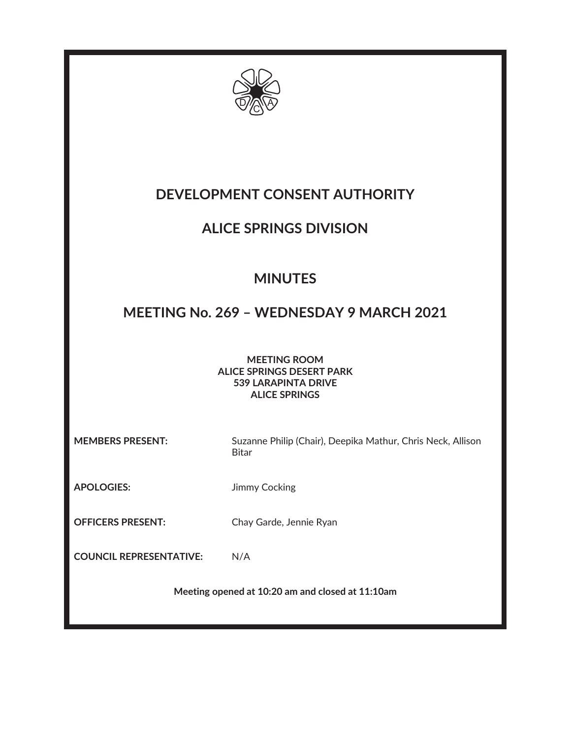

# **DEVELOPMENT CONSENT AUTHORITY**

## **ALICE SPRINGS DIVISION**

# **MINUTES**

## **MEETING No. 269 – WEDNESDAY 9 MARCH 2021**

**MEETING ROOM ALICE SPRINGS DESERT PARK 539 LARAPINTA DRIVE ALICE SPRINGS** 

**MEMBERS PRESENT:** Suzanne Philip (Chair), Deepika Mathur, Chris Neck, Allison Bitar

**APOLOGIES:** Jimmy Cocking

**OFFICERS PRESENT:** Chay Garde, Jennie Ryan

**COUNCIL REPRESENTATIVE:** N/A

**Meeting opened at 10:20 am and closed at 11:10am**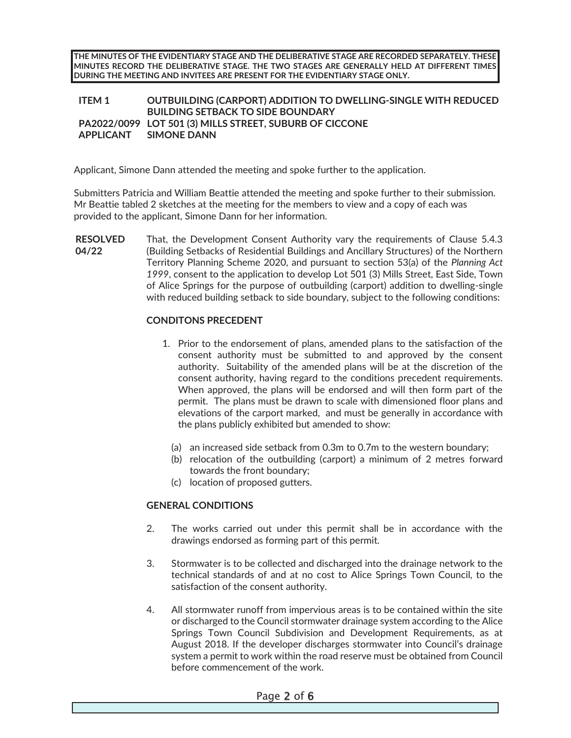**THE MINUTES OF THE EVIDENTIARY STAGE AND THE DELIBERATIVE STAGE ARE RECORDED SEPARATELY. THESE MINUTES RECORD THE DELIBERATIVE STAGE. THE TWO STAGES ARE GENERALLY HELD AT DIFFERENT TIMES DURING THE MEETING AND INVITEES ARE PRESENT FOR THE EVIDENTIARY STAGE ONLY.** 

**ITEM 1 OUTBUILDING (CARPORT) ADDITION TO DWELLING-SINGLE WITH REDUCED BUILDING SETBACK TO SIDE BOUNDARY PA2022/0099 LOT 501 (3) MILLS STREET, SUBURB OF CICCONE APPLICANT SIMONE DANN** 

Applicant, Simone Dann attended the meeting and spoke further to the application.

Submitters Patricia and William Beattie attended the meeting and spoke further to their submission. Mr Beattie tabled 2 sketches at the meeting for the members to view and a copy of each was provided to the applicant, Simone Dann for her information.

**RESOLVED 04/22**  That, the Development Consent Authority vary the requirements of Clause 5.4.3 (Building Setbacks of Residential Buildings and Ancillary Structures) of the Northern Territory Planning Scheme 2020, and pursuant to section 53(a) of the *Planning Act 1999*, consent to the application to develop Lot 501 (3) Mills Street, East Side, Town of Alice Springs for the purpose of outbuilding (carport) addition to dwelling-single with reduced building setback to side boundary, subject to the following conditions:

#### **CONDITONS PRECEDENT**

- 1. Prior to the endorsement of plans, amended plans to the satisfaction of the consent authority must be submitted to and approved by the consent authority. Suitability of the amended plans will be at the discretion of the consent authority, having regard to the conditions precedent requirements. When approved, the plans will be endorsed and will then form part of the permit. The plans must be drawn to scale with dimensioned floor plans and elevations of the carport marked, and must be generally in accordance with the plans publicly exhibited but amended to show:
	- (a) an increased side setback from 0.3m to 0.7m to the western boundary;
	- (b) relocation of the outbuilding (carport) a minimum of 2 metres forward towards the front boundary;
	- (c) location of proposed gutters.

#### **GENERAL CONDITIONS**

- 2. The works carried out under this permit shall be in accordance with the drawings endorsed as forming part of this permit.
- 3. Stormwater is to be collected and discharged into the drainage network to the technical standards of and at no cost to Alice Springs Town Council, to the satisfaction of the consent authority.
- 4. All stormwater runoff from impervious areas is to be contained within the site or discharged to the Council stormwater drainage system according to the Alice Springs Town Council Subdivision and Development Requirements, as at August 2018. If the developer discharges stormwater into Council's drainage system a permit to work within the road reserve must be obtained from Council before commencement of the work.

#### Page 2 of 6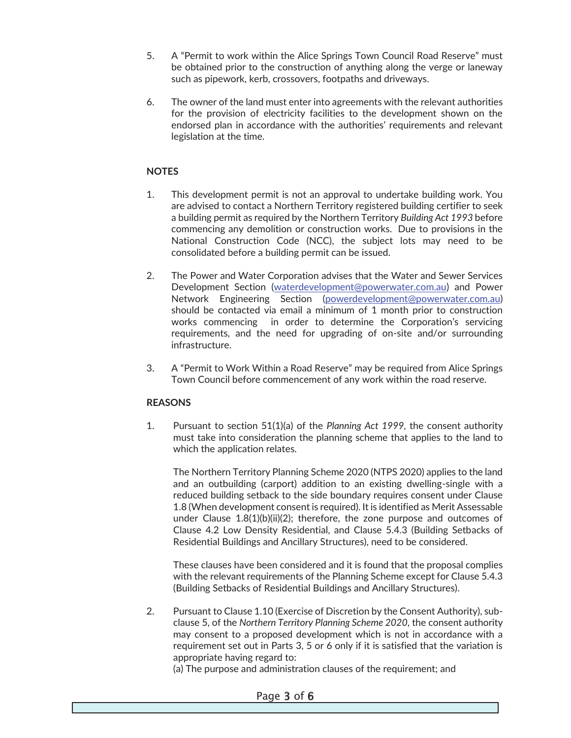- 5. A "Permit to work within the Alice Springs Town Council Road Reserve" must be obtained prior to the construction of anything along the verge or laneway such as pipework, kerb, crossovers, footpaths and driveways.
- 6. The owner of the land must enter into agreements with the relevant authorities for the provision of electricity facilities to the development shown on the endorsed plan in accordance with the authorities' requirements and relevant legislation at the time.

### **NOTES**

- 1. This development permit is not an approval to undertake building work. You are advised to contact a Northern Territory registered building certifier to seek a building permit as required by the Northern Territory *Building Act 1993* before commencing any demolition or construction works. Due to provisions in the National Construction Code (NCC), the subject lots may need to be consolidated before a building permit can be issued.
- 2. The Power and Water Corporation advises that the Water and Sewer Services Development Section (waterdevelopment@powerwater.com.au) and Power Network Engineering Section (powerdevelopment@powerwater.com.au) should be contacted via email a minimum of 1 month prior to construction works commencing in order to determine the Corporation's servicing requirements, and the need for upgrading of on-site and/or surrounding infrastructure.
- 3. A "Permit to Work Within a Road Reserve" may be required from Alice Springs Town Council before commencement of any work within the road reserve.

### **REASONS**

1. Pursuant to section 51(1)(a) of the *Planning Act 1999,* the consent authority must take into consideration the planning scheme that applies to the land to which the application relates.

The Northern Territory Planning Scheme 2020 (NTPS 2020) applies to the land and an outbuilding (carport) addition to an existing dwelling-single with a reduced building setback to the side boundary requires consent under Clause 1.8 (When development consent is required). It is identified as Merit Assessable under Clause 1.8(1)(b)(ii)(2); therefore, the zone purpose and outcomes of Clause 4.2 Low Density Residential, and Clause 5.4.3 (Building Setbacks of Residential Buildings and Ancillary Structures), need to be considered.

These clauses have been considered and it is found that the proposal complies with the relevant requirements of the Planning Scheme except for Clause 5.4.3 (Building Setbacks of Residential Buildings and Ancillary Structures).

2. Pursuant to Clause 1.10 (Exercise of Discretion by the Consent Authority), subclause 5, of the *Northern Territory Planning Scheme 2020*, the consent authority may consent to a proposed development which is not in accordance with a requirement set out in Parts 3, 5 or 6 only if it is satisfied that the variation is appropriate having regard to:

(a) The purpose and administration clauses of the requirement; and

#### Page 3 of 6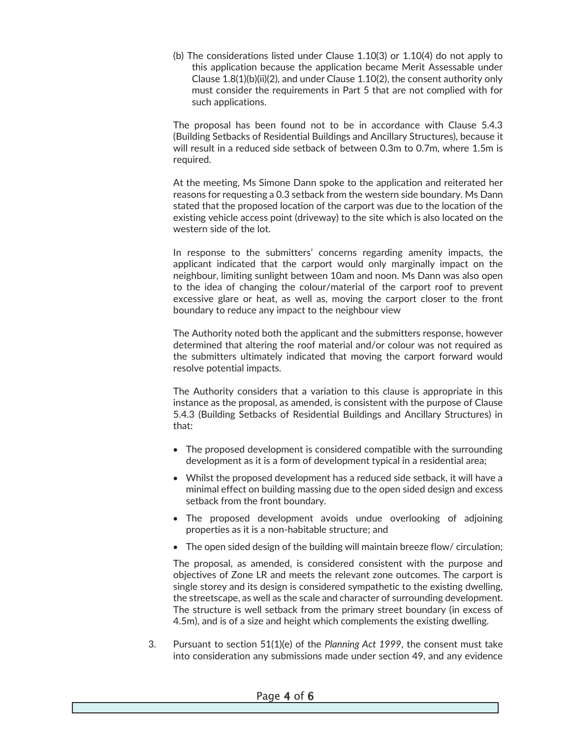(b) The considerations listed under Clause 1.10(3) or 1.10(4) do not apply to this application because the application became Merit Assessable under Clause 1.8(1)(b)(ii)(2), and under Clause 1.10(2), the consent authority only must consider the requirements in Part 5 that are not complied with for such applications.

The proposal has been found not to be in accordance with Clause 5.4.3 (Building Setbacks of Residential Buildings and Ancillary Structures), because it will result in a reduced side setback of between 0.3m to 0.7m, where 1.5m is required.

At the meeting, Ms Simone Dann spoke to the application and reiterated her reasons for requesting a 0.3 setback from the western side boundary. Ms Dann stated that the proposed location of the carport was due to the location of the existing vehicle access point (driveway) to the site which is also located on the western side of the lot.

In response to the submitters' concerns regarding amenity impacts, the applicant indicated that the carport would only marginally impact on the neighbour, limiting sunlight between 10am and noon. Ms Dann was also open to the idea of changing the colour/material of the carport roof to prevent excessive glare or heat, as well as, moving the carport closer to the front boundary to reduce any impact to the neighbour view

The Authority noted both the applicant and the submitters response, however determined that altering the roof material and/or colour was not required as the submitters ultimately indicated that moving the carport forward would resolve potential impacts.

The Authority considers that a variation to this clause is appropriate in this instance as the proposal, as amended, is consistent with the purpose of Clause 5.4.3 (Building Setbacks of Residential Buildings and Ancillary Structures) in that:

- · The proposed development is considered compatible with the surrounding development as it is a form of development typical in a residential area;
- Whilst the proposed development has a reduced side setback, it will have a minimal effect on building massing due to the open sided design and excess setback from the front boundary.
- · The proposed development avoids undue overlooking of adjoining properties as it is a non-habitable structure; and
- The open sided design of the building will maintain breeze flow/ circulation;

The proposal, as amended, is considered consistent with the purpose and objectives of Zone LR and meets the relevant zone outcomes. The carport is single storey and its design is considered sympathetic to the existing dwelling, the streetscape, as well as the scale and character of surrounding development. The structure is well setback from the primary street boundary (in excess of 4.5m), and is of a size and height which complements the existing dwelling.

3. Pursuant to section 51(1)(e) of the *Planning Act 1999*, the consent must take into consideration any submissions made under section 49, and any evidence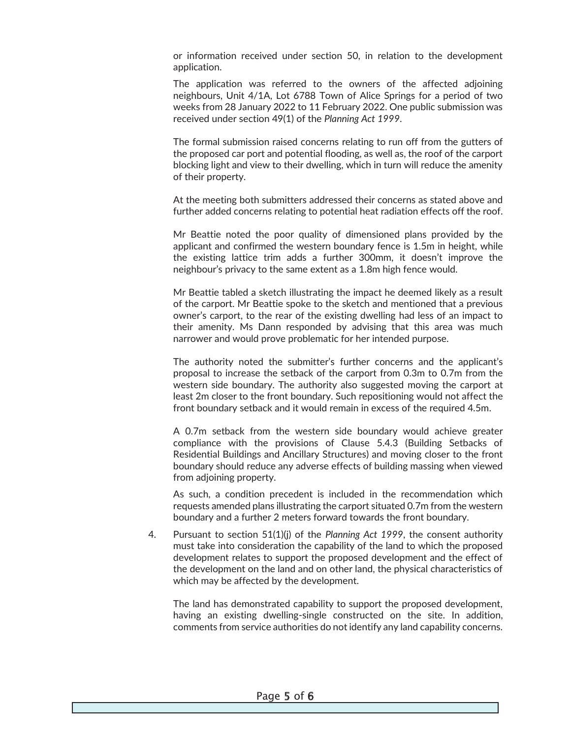or information received under section 50, in relation to the development application.

The application was referred to the owners of the affected adjoining neighbours, Unit 4/1A, Lot 6788 Town of Alice Springs for a period of two weeks from 28 January 2022 to 11 February 2022. One public submission was received under section 49(1) of the *Planning Act 1999*.

The formal submission raised concerns relating to run off from the gutters of the proposed car port and potential flooding, as well as, the roof of the carport blocking light and view to their dwelling, which in turn will reduce the amenity of their property.

At the meeting both submitters addressed their concerns as stated above and further added concerns relating to potential heat radiation effects off the roof.

Mr Beattie noted the poor quality of dimensioned plans provided by the applicant and confirmed the western boundary fence is 1.5m in height, while the existing lattice trim adds a further 300mm, it doesn't improve the neighbour's privacy to the same extent as a 1.8m high fence would.

Mr Beattie tabled a sketch illustrating the impact he deemed likely as a result of the carport. Mr Beattie spoke to the sketch and mentioned that a previous owner's carport, to the rear of the existing dwelling had less of an impact to their amenity. Ms Dann responded by advising that this area was much narrower and would prove problematic for her intended purpose.

The authority noted the submitter's further concerns and the applicant's proposal to increase the setback of the carport from 0.3m to 0.7m from the western side boundary. The authority also suggested moving the carport at least 2m closer to the front boundary. Such repositioning would not affect the front boundary setback and it would remain in excess of the required 4.5m.

A 0.7m setback from the western side boundary would achieve greater compliance with the provisions of Clause 5.4.3 (Building Setbacks of Residential Buildings and Ancillary Structures) and moving closer to the front boundary should reduce any adverse effects of building massing when viewed from adjoining property.

As such, a condition precedent is included in the recommendation which requests amended plans illustrating the carport situated 0.7m from the western boundary and a further 2 meters forward towards the front boundary.

4. Pursuant to section 51(1)(j) of the *Planning Act 1999*, the consent authority must take into consideration the capability of the land to which the proposed development relates to support the proposed development and the effect of the development on the land and on other land, the physical characteristics of which may be affected by the development.

The land has demonstrated capability to support the proposed development, having an existing dwelling-single constructed on the site. In addition, comments from service authorities do not identify any land capability concerns.